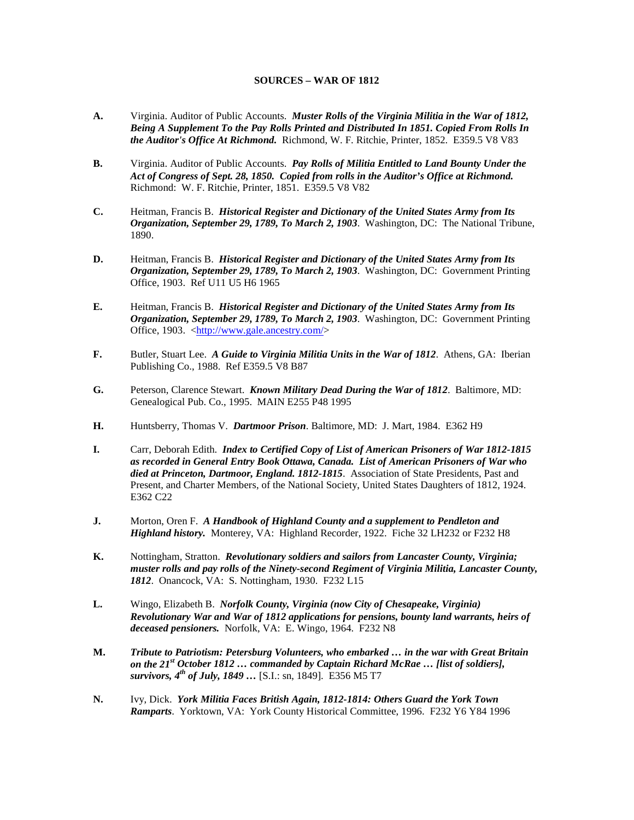## **SOURCES – WAR OF 1812**

- **A.** Virginia. Auditor of Public Accounts. *Muster Rolls of the Virginia Militia in the War of 1812, Being A Supplement To the Pay Rolls Printed and Distributed In 1851. Copied From Rolls In the Auditor's Office At Richmond.* Richmond, W. F. Ritchie, Printer, 1852. E359.5 V8 V83
- **B.** Virginia. Auditor of Public Accounts. *Pay Rolls of Militia Entitled to Land Bounty Under the Act of Congress of Sept. 28, 1850. Copied from rolls in the Auditor's Office at Richmond.* Richmond: W. F. Ritchie, Printer, 1851. E359.5 V8 V82
- **C.** Heitman, Francis B. *Historical Register and Dictionary of the United States Army from Its Organization, September 29, 1789, To March 2, 1903*. Washington, DC: The National Tribune, 1890.
- **D.** Heitman, Francis B. *Historical Register and Dictionary of the United States Army from Its Organization, September 29, 1789, To March 2, 1903*. Washington, DC: Government Printing Office, 1903. Ref U11 U5 H6 1965
- **E.** Heitman, Francis B. *Historical Register and Dictionary of the United States Army from Its Organization, September 29, 1789, To March 2, 1903*. Washington, DC: Government Printing Office, 1903. [<http://www.gale.ancestry.com/>](http://www.gale.ancestry.com/)
- **F.** Butler, Stuart Lee. *A Guide to Virginia Militia Units in the War of 1812*. Athens, GA: Iberian Publishing Co., 1988. Ref E359.5 V8 B87
- **G.** Peterson, Clarence Stewart. *Known Military Dead During the War of 1812*. Baltimore, MD: Genealogical Pub. Co., 1995. MAIN E255 P48 1995
- **H.** Huntsberry, Thomas V. *Dartmoor Prison*. Baltimore, MD: J. Mart, 1984. E362 H9
- **I.** Carr, Deborah Edith. *Index to Certified Copy of List of American Prisoners of War 1812-1815 as recorded in General Entry Book Ottawa, Canada. List of American Prisoners of War who died at Princeton, Dartmoor, England. 1812-1815*. Association of State Presidents, Past and Present, and Charter Members, of the National Society, United States Daughters of 1812, 1924. E362 C22
- **J.** Morton, Oren F. *A Handbook of Highland County and a supplement to Pendleton and Highland history.* Monterey, VA: Highland Recorder, 1922. Fiche 32 LH232 or F232 H8
- **K.** Nottingham, Stratton. *Revolutionary soldiers and sailors from Lancaster County, Virginia; muster rolls and pay rolls of the Ninety-second Regiment of Virginia Militia, Lancaster County, 1812*. Onancock, VA: S. Nottingham, 1930. F232 L15
- **L.** Wingo, Elizabeth B. *Norfolk County, Virginia (now City of Chesapeake, Virginia) Revolutionary War and War of 1812 applications for pensions, bounty land warrants, heirs of deceased pensioners.* Norfolk, VA: E. Wingo, 1964. F232 N8
- **M.** *Tribute to Patriotism: Petersburg Volunteers, who embarked … in the war with Great Britain on the 21st October 1812 … commanded by Captain Richard McRae … [list of soldiers], survivors, 4th of July, 1849 …* [S.I.: sn, 1849]. E356 M5 T7
- **N.** Ivy, Dick. *York Militia Faces British Again, 1812-1814: Others Guard the York Town Ramparts*. Yorktown, VA: York County Historical Committee, 1996. F232 Y6 Y84 1996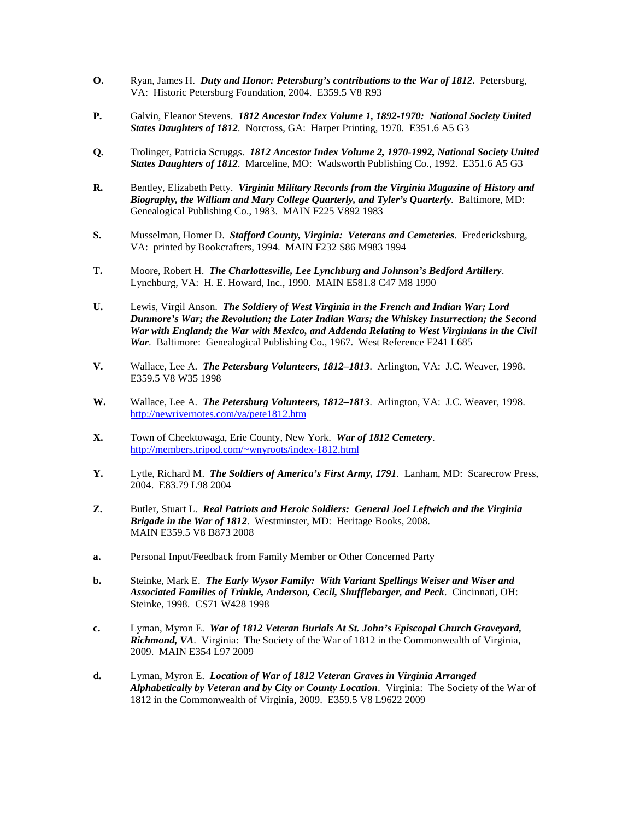- **O.** Ryan, James H. *Duty and Honor: Petersburg's contributions to the War of 1812***.** Petersburg, VA: Historic Petersburg Foundation, 2004. E359.5 V8 R93
- **P.** Galvin, Eleanor Stevens. *1812 Ancestor Index Volume 1, 1892-1970: National Society United States Daughters of 1812*. Norcross, GA: Harper Printing, 1970. E351.6 A5 G3
- **Q.** Trolinger, Patricia Scruggs. *1812 Ancestor Index Volume 2, 1970-1992, National Society United States Daughters of 1812*. Marceline, MO: Wadsworth Publishing Co., 1992. E351.6 A5 G3
- **R.** Bentley, Elizabeth Petty. *Virginia Military Records from the Virginia Magazine of History and Biography, the William and Mary College Quarterly, and Tyler's Quarterly*. Baltimore, MD: Genealogical Publishing Co., 1983. MAIN F225 V892 1983
- **S.** Musselman, Homer D. *Stafford County, Virginia: Veterans and Cemeteries*. Fredericksburg, VA: printed by Bookcrafters, 1994. MAIN F232 S86 M983 1994
- **T.** Moore, Robert H. *The Charlottesville, Lee Lynchburg and Johnson's Bedford Artillery*. Lynchburg, VA: H. E. Howard, Inc., 1990. MAIN E581.8 C47 M8 1990
- **U.** Lewis, Virgil Anson. *The Soldiery of West Virginia in the French and Indian War; Lord Dunmore's War; the Revolution; the Later Indian Wars; the Whiskey Insurrection; the Second War with England; the War with Mexico, and Addenda Relating to West Virginians in the Civil War*. Baltimore: Genealogical Publishing Co., 1967. West Reference F241 L685
- **V.** Wallace, Lee A. *The Petersburg Volunteers, 1812–1813*. Arlington, VA: J.C. Weaver, 1998. E359.5 V8 W35 1998
- **W.** Wallace, Lee A. *The Petersburg Volunteers, 1812–1813*. Arlington, VA: J.C. Weaver, 1998. <http://newrivernotes.com/va/pete1812.htm>
- **X.** Town of Cheektowaga, Erie County, New York. *War of 1812 Cemetery*. <http://members.tripod.com/~wnyroots/index-1812.html>
- **Y.** Lytle, Richard M. *The Soldiers of America's First Army, 1791*. Lanham, MD: Scarecrow Press, 2004. E83.79 L98 2004
- **Z.** Butler, Stuart L. *Real Patriots and Heroic Soldiers: General Joel Leftwich and the Virginia Brigade in the War of 1812*. Westminster, MD: Heritage Books, 2008. MAIN E359.5 V8 B873 2008
- **a.** Personal Input/Feedback from Family Member or Other Concerned Party
- **b.** Steinke, Mark E. *The Early Wysor Family: With Variant Spellings Weiser and Wiser and Associated Families of Trinkle, Anderson, Cecil, Shufflebarger, and Peck*. Cincinnati, OH: Steinke, 1998. CS71 W428 1998
- **c.** Lyman, Myron E. *War of 1812 Veteran Burials At St. John's Episcopal Church Graveyard, Richmond, VA*. Virginia: The Society of the War of 1812 in the Commonwealth of Virginia, 2009. MAIN E354 L97 2009
- **d.** Lyman, Myron E. *Location of War of 1812 Veteran Graves in Virginia Arranged Alphabetically by Veteran and by City or County Location*. Virginia: The Society of the War of 1812 in the Commonwealth of Virginia, 2009. E359.5 V8 L9622 2009